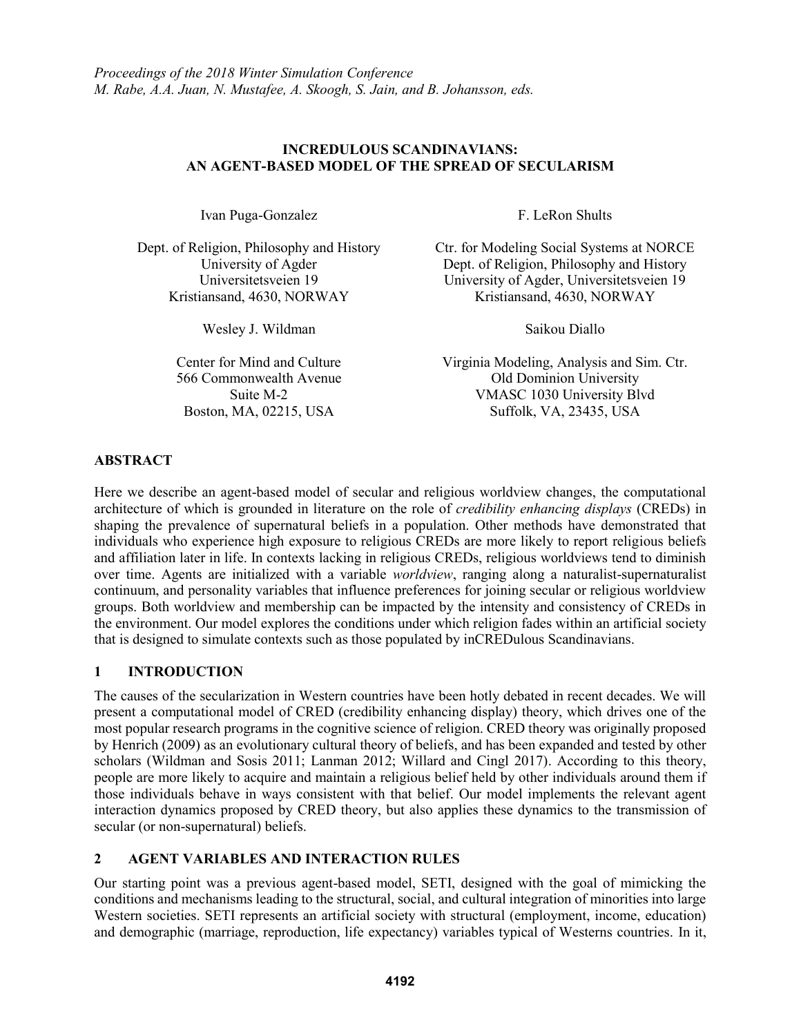## **INCREDULOUS SCANDINAVIANS: AN AGENT-BASED MODEL OF THE SPREAD OF SECULARISM**

Ivan Puga-Gonzalez F. LeRon Shults

Kristiansand, 4630, NORWAY

Wesley J. Wildman Saikou Diallo

Dept. of Religion, Philosophy and History Ctr. for Modeling Social Systems at NORCE University of Agder Dept. of Religion, Philosophy and History Universitetsveien 19 University of Agder, Universitetsveien 19

Center for Mind and Culture Virginia Modeling, Analysis and Sim. Ctr. 566 Commonwealth Avenue Old Dominion University Suite M-2 VMASC 1030 University Blvd Boston, MA, 02215, USA Suffolk, VA, 23435, USA

## **ABSTRACT**

Here we describe an agent-based model of secular and religious worldview changes, the computational architecture of which is grounded in literature on the role of *credibility enhancing displays* (CREDs) in shaping the prevalence of supernatural beliefs in a population. Other methods have demonstrated that individuals who experience high exposure to religious CREDs are more likely to report religious beliefs and affiliation later in life. In contexts lacking in religious CREDs, religious worldviews tend to diminish over time. Agents are initialized with a variable *worldview*, ranging along a naturalist-supernaturalist continuum, and personality variables that influence preferences for joining secular or religious worldview groups. Both worldview and membership can be impacted by the intensity and consistency of CREDs in the environment. Our model explores the conditions under which religion fades within an artificial society that is designed to simulate contexts such as those populated by inCREDulous Scandinavians.

## **1 INTRODUCTION**

The causes of the secularization in Western countries have been hotly debated in recent decades. We will present a computational model of CRED (credibility enhancing display) theory, which drives one of the most popular research programs in the cognitive science of religion. CRED theory was originally proposed by Henrich (2009) as an evolutionary cultural theory of beliefs, and has been expanded and tested by other scholars (Wildman and Sosis 2011; Lanman 2012; Willard and Cingl 2017). According to this theory, people are more likely to acquire and maintain a religious belief held by other individuals around them if those individuals behave in ways consistent with that belief. Our model implements the relevant agent interaction dynamics proposed by CRED theory, but also applies these dynamics to the transmission of secular (or non-supernatural) beliefs.

# **2 AGENT VARIABLES AND INTERACTION RULES**

Our starting point was a previous agent-based model, SETI, designed with the goal of mimicking the conditions and mechanisms leading to the structural, social, and cultural integration of minorities into large Western societies. SETI represents an artificial society with structural (employment, income, education) and demographic (marriage, reproduction, life expectancy) variables typical of Westerns countries. In it,